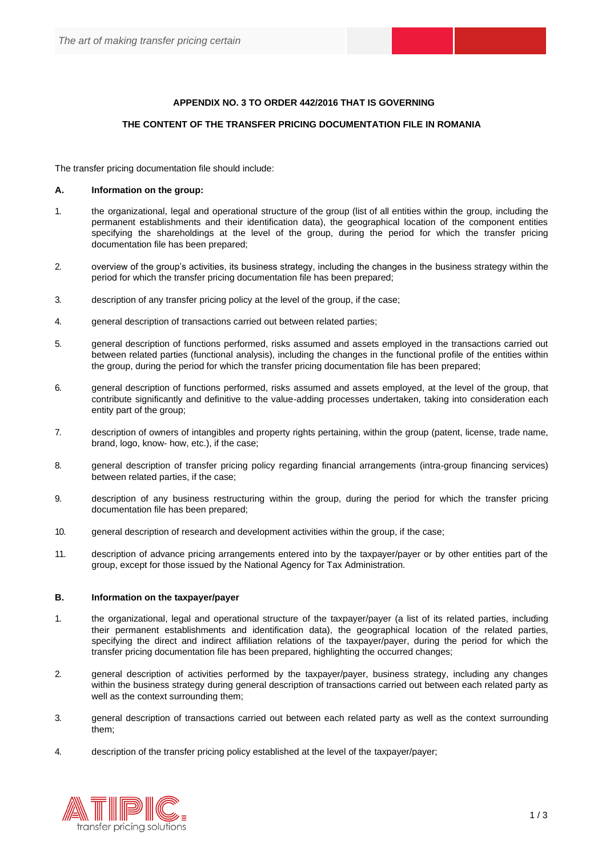## **APPENDIX NO. 3 TO ORDER 442/2016 THAT IS GOVERNING**

## **THE CONTENT OF THE TRANSFER PRICING DOCUMENTATION FILE IN ROMANIA**

The transfer pricing documentation file should include:

## **A. Information on the group:**

- 1. the organizational, legal and operational structure of the group (list of all entities within the group, including the permanent establishments and their identification data), the geographical location of the component entities specifying the shareholdings at the level of the group, during the period for which the transfer pricing documentation file has been prepared;
- 2. overview of the group's activities, its business strategy, including the changes in the business strategy within the period for which the transfer pricing documentation file has been prepared;
- 3. description of any transfer pricing policy at the level of the group, if the case;
- 4. general description of transactions carried out between related parties;
- 5. general description of functions performed, risks assumed and assets employed in the transactions carried out between related parties (functional analysis), including the changes in the functional profile of the entities within the group, during the period for which the transfer pricing documentation file has been prepared;
- 6. general description of functions performed, risks assumed and assets employed, at the level of the group, that contribute significantly and definitive to the value-adding processes undertaken, taking into consideration each entity part of the group;
- 7. description of owners of intangibles and property rights pertaining, within the group (patent, license, trade name, brand, logo, know- how, etc.), if the case;
- 8. general description of transfer pricing policy regarding financial arrangements (intra-group financing services) between related parties, if the case;
- 9. description of any business restructuring within the group, during the period for which the transfer pricing documentation file has been prepared;
- 10. general description of research and development activities within the group, if the case;
- 11. description of advance pricing arrangements entered into by the taxpayer/payer or by other entities part of the group, except for those issued by the National Agency for Tax Administration.

## **B. Information on the taxpayer/payer**

- 1. the organizational, legal and operational structure of the taxpayer/payer (a list of its related parties, including their permanent establishments and identification data), the geographical location of the related parties, specifying the direct and indirect affiliation relations of the taxpayer/payer, during the period for which the transfer pricing documentation file has been prepared, highlighting the occurred changes;
- 2. general description of activities performed by the taxpayer/payer, business strategy, including any changes within the business strategy during general description of transactions carried out between each related party as well as the context surrounding them;
- 3. general description of transactions carried out between each related party as well as the context surrounding them;
- 4. description of the transfer pricing policy established at the level of the taxpayer/payer;

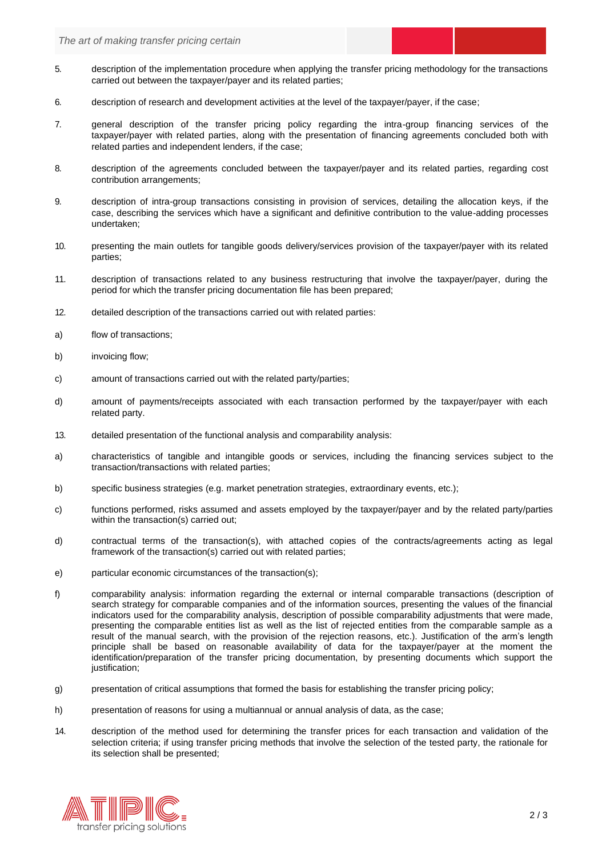- 5. description of the implementation procedure when applying the transfer pricing methodology for the transactions carried out between the taxpayer/payer and its related parties;
- 6. description of research and development activities at the level of the taxpayer/payer, if the case;
- 7. general description of the transfer pricing policy regarding the intra-group financing services of the taxpayer/payer with related parties, along with the presentation of financing agreements concluded both with related parties and independent lenders, if the case;
- 8. description of the agreements concluded between the taxpayer/payer and its related parties, regarding cost contribution arrangements;
- 9. description of intra-group transactions consisting in provision of services, detailing the allocation keys, if the case, describing the services which have a significant and definitive contribution to the value-adding processes undertaken;
- 10. presenting the main outlets for tangible goods delivery/services provision of the taxpayer/payer with its related parties;
- 11. description of transactions related to any business restructuring that involve the taxpayer/payer, during the period for which the transfer pricing documentation file has been prepared;
- 12. detailed description of the transactions carried out with related parties:
- a) flow of transactions;
- b) invoicing flow;
- c) amount of transactions carried out with the related party/parties;
- d) amount of payments/receipts associated with each transaction performed by the taxpayer/payer with each related party.
- 13. detailed presentation of the functional analysis and comparability analysis:
- a) characteristics of tangible and intangible goods or services, including the financing services subject to the transaction/transactions with related parties;
- b) specific business strategies (e.g. market penetration strategies, extraordinary events, etc.);
- c) functions performed, risks assumed and assets employed by the taxpayer/payer and by the related party/parties within the transaction(s) carried out;
- d) contractual terms of the transaction(s), with attached copies of the contracts/agreements acting as legal framework of the transaction(s) carried out with related parties;
- e) particular economic circumstances of the transaction(s);
- f) comparability analysis: information regarding the external or internal comparable transactions (description of search strategy for comparable companies and of the information sources, presenting the values of the financial indicators used for the comparability analysis, description of possible comparability adjustments that were made, presenting the comparable entities list as well as the list of rejected entities from the comparable sample as a result of the manual search, with the provision of the rejection reasons, etc.). Justification of the arm's length principle shall be based on reasonable availability of data for the taxpayer/payer at the moment the identification/preparation of the transfer pricing documentation, by presenting documents which support the justification;
- g) presentation of critical assumptions that formed the basis for establishing the transfer pricing policy;
- h) presentation of reasons for using a multiannual or annual analysis of data, as the case;
- 14. description of the method used for determining the transfer prices for each transaction and validation of the selection criteria; if using transfer pricing methods that involve the selection of the tested party, the rationale for its selection shall be presented;